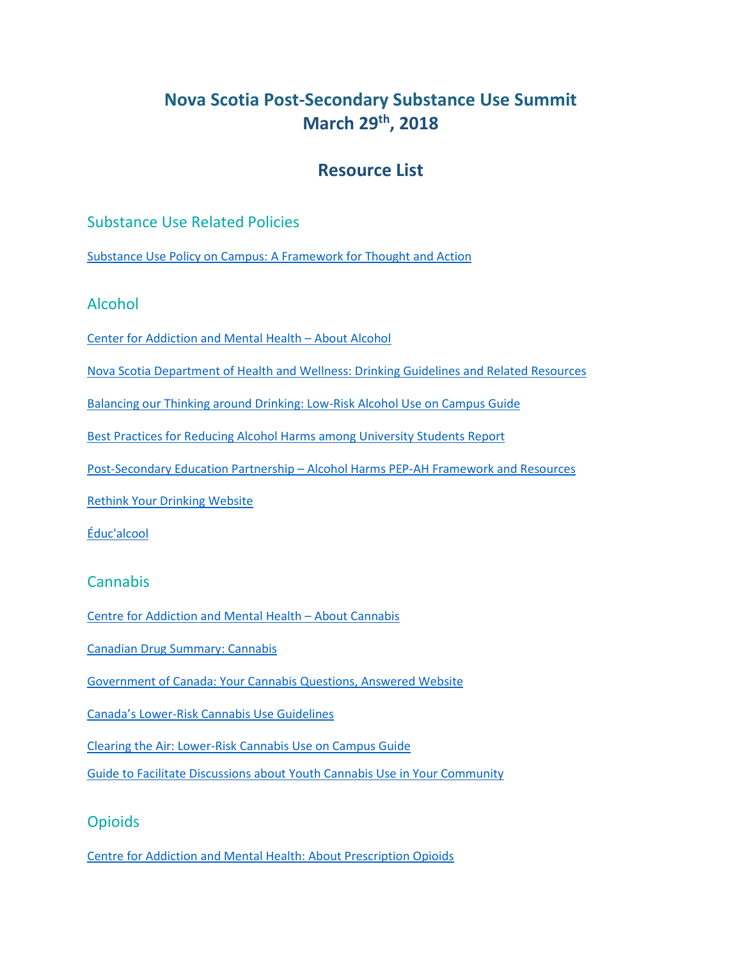# **Nova Scotia Post-Secondary Substance Use Summit March 29th, 2018**

# **Resource List**

### Substance Use Related Policies

[Substance Use Policy on Campus: A Framework for Thought and Action](https://healthycampuses.ca/wp-content/uploads/2017/05/Substance-Use-Policy-on-Campus.pdf)

### Alcohol

[Center for Addiction and Mental Health](http://www.camh.ca/en/hospital/health_information/a_z_mental_health_and_addiction_information/alcohol/Pages/alcohol.aspx) – About Alcohol

[Nova Scotia Department of Health and Wellness:](https://novascotia.ca/dhw/addictions/alcohol-drinking-guidelines.asp) Drinking Guidelines and Related Resources

[Balancing our Thinking around Drinking: Low-Risk Alcohol Use on Campus Guide](https://healthycampuses.ca/resource/balancing-our-thinking-around-drinking-low-risk-alcohol-use-on-campus/)

[Best Practices for Reducing Alcohol Harms among University Students](https://novascotia.ca/dhw/addictions/documents/Reducing-alcohol-harms-among-university-students.pdf) Report

Post-Secondary Education Partnership – Alcohol Harms PEP-AH [Framework and Resources](http://pepah.ca/home/)

[Rethink Your Drinking Website](http://www.rethinkyourdrinking.ca/) 

[Éduc'alcool](http://educalcool.qc.ca/en/#.WseJeU0zXIV)

### **Cannabis**

[Centre for Addiction and Mental Health](http://www.camh.ca/en/hospital/health_information/a_z_mental_health_and_addiction_information/Cannabis/Pages/default.aspx) – About Cannabis

[Canadian Drug Summary:](http://www.ccsa.ca/Resource%20Library/CCSA-Canadian-Drug-Summary-Cannabis-2017-en.pdf) Cannabis

[Government of Canada: Your Cannabis Questions, Answered Website](https://www.canada.ca/en/services/health/campaigns/marijuana-cannabis.html)

Canada's Lower[-Risk Cannabis Use Guidelines](https://www.camh.ca/en/research/news_and_publications/reports_and_books/Documents/LRCUG.KT.Professional.15June2017.pdf)

[Clearing the Air: Lower-Risk Cannabis Use on Campus Guide](https://healthycampuses.ca/resource/clearing-the-air-lower-risk-cannabis-use-on-campus/)

[Guide to Facilitate Discussions about Youth Cannabis Use in Your Community](http://www.ccsa.ca/Resource%20Library/CCSA-Community-Discussions-Youth-Cannabis-Guide-2016-en.pdf)

### **Opioids**

[Centre for Addiction and Mental Health: About Prescription Opioids](http://www.camh.ca/en/hospital/health_information/a_z_mental_health_and_addiction_information/Prescription-Opioids/Pages/default.aspx)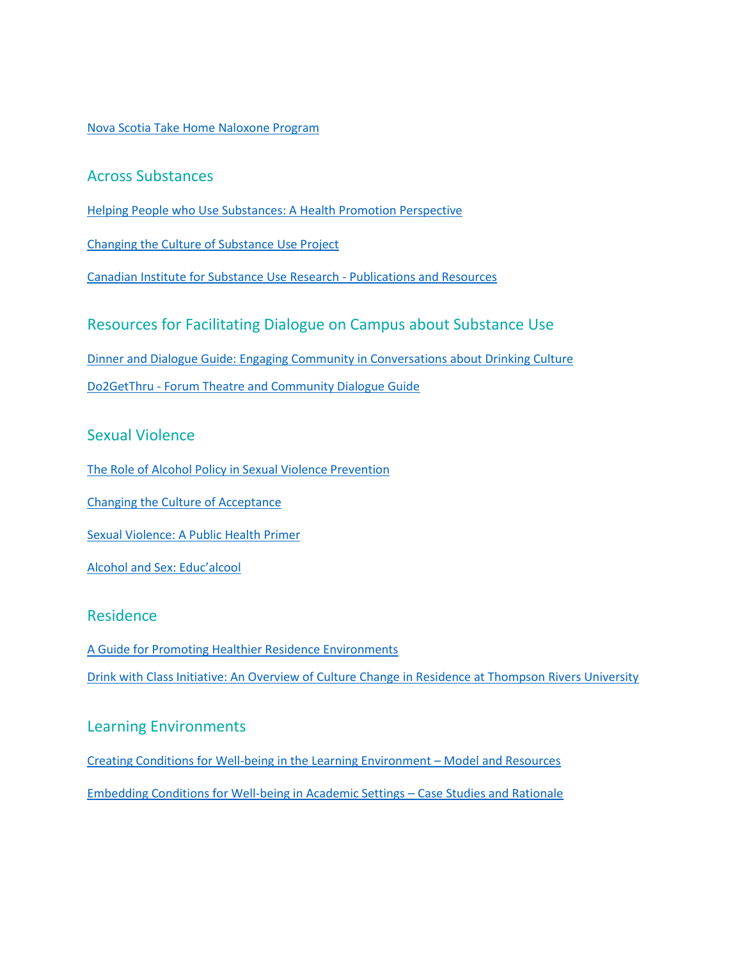#### [Nova Scotia Take Home Naloxone Program](http://www.nsnaloxone.com/)

### Across Substances

[Helping People who Use Substances: A Health Promotion Perspective](https://healthycampuses.ca/resource/helping-people-who-use-substances/)

[Changing the Culture of Substance Use Project](https://healthycampuses.ca/project/changing-the-culture-of-substance-use-project/)

Canadian [Institute for Substance Use Research -](https://www.uvic.ca/research/centres/cisur/publications/index.php) Publications and Resources

### Resources for Facilitating Dialogue on Campus about Substance Use

Dinner and Dialogue [Guide: Engaging Community in Conversations about Drinking Culture](https://healthycampuses.ca/resource/dinner-and-dialogue-engaging-community-in-conversations-about-drinking-culture/)

Do2GetThru - [Forum Theatre and Community Dialogue Guide](https://healthycampuses.ca/resource/promising-practice-do2getthru/) 

#### Sexual Violence

[The Role of Alcohol Policy in Sexual Violence Prevention](http://www.acip.ca/Document-Library/Intentional%20Injury/ACIP%20Alcohol%20&%20Sexual%20Violence%20Report.pdf)

[Changing the Culture of Acceptance](https://novascotia.ca/lae/pubs/docs/changing-the-culture-of-acceptance.pdf)

[Sexual Violence: A Public Health Primer](https://novascotia.ca/coms/svs/docs/primer.pdf)

Alcohol and S[ex: Educ'alcool](http://educalcool.qc.ca/wp-content/uploads/2017/04/Alcohol-and-Sex.pdf)

#### Residence

[A Guide for Promoting Healthier Residence Environments](https://healthycampuses.ca/resource/residence-guide/) [Drink with Class Initiative: An Overview of Culture Change in Residence at Thompson Rivers University](https://healthycampuses.ca/resource/drink-with-class/)

#### Learning Environments

[Creating Conditions for Well-being in the Learning Environment](https://www.sfu.ca/healthycampuscommunity/learningenvironments/WLE.html) – Model and Resources [Embedding Conditions for Well-being in Academic Settings](https://www.sfu.ca/healthycampuscommunity/academic-settings.html) – Case Studies and Rationale